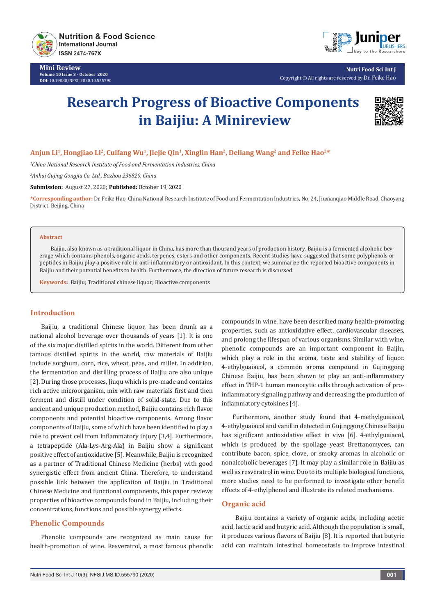

**Mini Review Volume 10 Issue 3 - October 2020 DOI:** [10.19080/NFSIJ.2020.10.5557](http://dx.doi.org/10.19080/NFSIJ.2020.10.555790)90



**Nutri Food Sci Int J** Copyright © All rights are reserved by Dr. Feike Hao

# **Research Progress of Bioactive Components in Baijiu: A Minireview**



### **Anjun Li1, Hongjiao Li2, Cuifang Wu1, Jiejie Qin1, Xinglin Han2, Deliang Wang2 and Feike Hao2\***

*1 China National Research Institute of Food and Fermentation Industries, China*

*2 Anhui Gujing Gongjiu Co. Ltd., Bozhou 236820, China*

**Submission:** August 27, 2020; **Published:** October 19, 2020

**\*Corresponding author:** Dr. Feike Hao, China National Research Institute of Food and Fermentation Industries, No. 24, Jiuxianqiao Middle Road, Chaoyang District, Beijing, China

#### **Abstract**

Baijiu, also known as a traditional liquor in China, has more than thousand years of production history. Baijiu is a fermented alcoholic beverage which contains phenols, organic acids, terpenes, esters and other components. Recent studies have suggested that some polyphenols or peptides in Baijiu play a positive role in anti-inflammatory or antioxidant. In this context, we summarize the reported bioactive components in Baijiu and their potential benefits to health. Furthermore, the direction of future research is discussed.

**Keywords:** Baijiu; Traditional chinese liquor; Bioactive components

#### **Introduction**

Baijiu, a traditional Chinese liquor, has been drunk as a national alcohol beverage over thousands of years [1]. It is one of the six major distilled spirits in the world. Different from other famous distilled spirits in the world, raw materials of Baijiu include sorghum, corn, rice, wheat, peas, and millet. In addition, the fermentation and distilling process of Baijiu are also unique [2]. During those processes, Jiuqu which is pre-made and contains rich active microorganism, mix with raw materials first and then ferment and distill under condition of solid-state. Due to this ancient and unique production method, Baijiu contains rich flavor components and potential bioactive components. Among flavor components of Baijiu, some of which have been identified to play a role to prevent cell from inflammatory injury [3,4]. Furthermore, a tetrapeptide (Ala-Lys-Arg-Ala) in Baijiu show a significant positive effect of antioxidative [5]. Meanwhile, Baijiu is recognized as a partner of Traditional Chinese Medicine (herbs) with good synergistic effect from ancient China. Therefore, to understand possible link between the application of Baijiu in Traditional Chinese Medicine and functional components, this paper reviews properties of bioactive compounds found in Baijiu, including their concentrations, functions and possible synergy effects.

#### **Phenolic Compounds**

Phenolic compounds are recognized as main cause for health-promotion of wine. Resveratrol, a most famous phenolic compounds in wine, have been described many health-promoting properties, such as antioxidative effect, cardiovascular diseases, and prolong the lifespan of various organisms. Similar with wine, phenolic compounds are an important component in Baijiu, which play a role in the aroma, taste and stability of liquor. 4-ethylguaiacol, a common aroma compound in Gujinggong Chinese Baijiu, has been shown to play an anti-inflammatory effect in THP-1 human monocytic cells through activation of proinflammatory signaling pathway and decreasing the production of inflammatory cytokines [4].

Furthermore, another study found that 4-methylguaiacol, 4-ethylguaiacol and vanillin detected in Gujinggong Chinese Baijiu has significant antioxidative effect in vivo [6]. 4-ethylguaiacol, which is produced by the spoilage yeast Brettanomyces, can contribute bacon, spice, clove, or smoky aromas in alcoholic or nonalcoholic beverages [7]. It may play a similar role in Baijiu as well as resveratrol in wine. Duo to its multiple biological functions, more studies need to be performed to investigate other benefit effects of 4-ethylphenol and illustrate its related mechanisms.

#### **Organic acid**

 Baijiu contains a variety of organic acids, including acetic acid, lactic acid and butyric acid. Although the population is small, it produces various flavors of Baijiu [8]. It is reported that butyric acid can maintain intestinal homeostasis to improve intestinal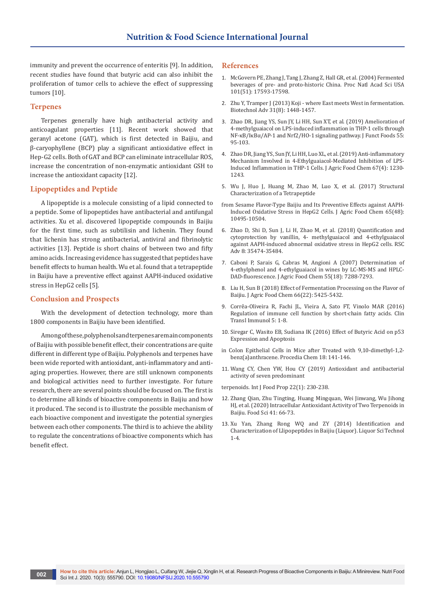immunity and prevent the occurrence of enteritis [9]. In addition, recent studies have found that butyric acid can also inhibit the proliferation of tumor cells to achieve the effect of suppressing tumors [10].

#### **Terpenes**

Terpenes generally have high antibacterial activity and anticoagulant properties [11]. Recent work showed that geranyl acetone (GAT), which is first detected in Baijiu, and β-caryophyllene (BCP) play a significant antioxidative effect in Hep-G2 cells. Both of GAT and BCP can eliminate intracellular ROS, increase the concentration of non-enzymatic antioxidant GSH to increase the antioxidant capacity [12].

#### **Lipopeptides and Peptide**

A lipopeptide is a molecule consisting of a lipid connected to a peptide. Some of lipopeptides have antibacterial and antifungal activities. Xu et al. discovered lipopeptide compounds in Baijiu for the first time, such as subtilisin and lichenin. They found that lichenin has strong antibacterial, antiviral and fibrinolytic activities [13]. Peptide is short chains of between two and fifty amino acids. Increasing evidence has suggested that peptides have benefit effects to human health. Wu et al. found that a tetrapeptide in Baijiu have a preventive effect against AAPH-induced oxidative stress in HepG2 cells [5].

#### **Conclusion and Prospects**

With the development of detection technology, more than 1800 components in Baijiu have been identified.

Among of these, polyphenols and terpenes are main components of Baijiu with possible benefit effect, their concentrations are quite different in different type of Baijiu. Polyphenols and terpenes have been wide reported with antioxidant, anti-inflammatory and antiaging properties. However, there are still unknown components and biological activities need to further investigate. For future research, there are several points should be focused on. The first is to determine all kinds of bioactive components in Baijiu and how it produced. The second is to illustrate the possible mechanism of each bioactive component and investigate the potential synergies between each other components. The third is to achieve the ability to regulate the concentrations of bioactive components which has benefit effect.

#### **References**

- 1. [McGovern PE, Zhang J, Tang J, Zhang Z, Hall GR, et al. \(2004\) Fermented](https://www.pnas.org/content/101/51/17593)  [beverages of pre- and proto-historic China. Proc Natl Acad Sci USA](https://www.pnas.org/content/101/51/17593)  [101\(51\): 17593-17598.](https://www.pnas.org/content/101/51/17593)
- 2. [Zhu Y, Tramper J \(2013\) Koji where East meets West in fermentation.](https://pubmed.ncbi.nlm.nih.gov/23850857/)  [Biotechnol Adv 31\(8\): 1448-1457.](https://pubmed.ncbi.nlm.nih.gov/23850857/)
- 3. [Zhao DR, Jiang YS, Sun JY, Li HH, Sun XT, et al. \(2019\) Amelioration of](https://www.sciencedirect.com/science/article/abs/pii/S1756464619300568)  [4-methylguaiacol on LPS-induced inflammation in THP-1 cells through](https://www.sciencedirect.com/science/article/abs/pii/S1756464619300568)  [NF-κB/IκBα/AP-1 and Nrf2/HO-1 signaling pathway. J Funct Foods 55:](https://www.sciencedirect.com/science/article/abs/pii/S1756464619300568)  [95-103.](https://www.sciencedirect.com/science/article/abs/pii/S1756464619300568)
- 4. [Zhao DR, Jiang YS, Sun JY, Li HH, Luo XL, et al. \(2019\) Anti-inflammatory](https://pubmed.ncbi.nlm.nih.gov/30614688/)  [Mechanism Involved in 4-Ethylguaiacol-Mediated Inhibition of LPS-](https://pubmed.ncbi.nlm.nih.gov/30614688/)[Induced Inflammation in THP-1 Cells. J Agric Food Chem 67\(4\): 1230-](https://pubmed.ncbi.nlm.nih.gov/30614688/) [1243.](https://pubmed.ncbi.nlm.nih.gov/30614688/)
- 5. [Wu J, Huo J, Huang M, Zhao M, Luo X, et al. \(2017\) Structural](https://pubs.acs.org/doi/abs/10.1021/acs.jafc.7b04815)  [Characterization of a Tetrapeptide](https://pubs.acs.org/doi/abs/10.1021/acs.jafc.7b04815)
- [from Sesame Flavor-Type Baijiu and Its Preventive Effects against AAPH-](https://pubs.acs.org/doi/abs/10.1021/acs.jafc.7b04815)[Induced Oxidative Stress in HepG2 Cells. J Agric Food Chem 65\(48\):](https://pubs.acs.org/doi/abs/10.1021/acs.jafc.7b04815)  [10495-10504.](https://pubs.acs.org/doi/abs/10.1021/acs.jafc.7b04815)
- 6. Zhao D, Shi D, Sun J, Li H, Zhao M, et al. (2018) Quantification and cytoprotection by vanillin, 4- methylguaiacol and 4-ethylguaiacol against AAPH-induced abnormal oxidative stress in HepG2 cells. RSC Adv 8: 35474-35484.
- 7. [Caboni P, Sarais G, Cabras M, Angioni A \(2007\) Determination of](https://pubs.acs.org/doi/10.1021/jf071156m)  [4-ethylphenol and 4-ethylguaiacol in wines by LC-MS-MS and HPLC-](https://pubs.acs.org/doi/10.1021/jf071156m)[DAD-fluorescence. J Agric Food Chem 55\(18\): 7288-7293.](https://pubs.acs.org/doi/10.1021/jf071156m)
- 8. [Liu H, Sun B \(2018\) Effect of Fermentation Processing on the Flavor of](https://pubs.acs.org/doi/10.1021/acs.jafc.8b00692)  [Baijiu. J Agric Food Chem 66\(22\): 5425-5432.](https://pubs.acs.org/doi/10.1021/acs.jafc.8b00692)
- 9. [Corrêa-Oliveira R, Fachi JL, Vieira A, Sato FT, Vinolo MAR \(2016\)](https://pubmed.ncbi.nlm.nih.gov/27195116/)  [Regulation of immune cell function by short-chain fatty acids. Clin](https://pubmed.ncbi.nlm.nih.gov/27195116/)  [Transl Immunol 5: 1-8.](https://pubmed.ncbi.nlm.nih.gov/27195116/)
- 10. [Siregar C, Wasito EB, Sudiana IK \(2016\) Effect of Butyric Acid on p53](https://www.sciencedirect.com/science/article/pii/S1876619616000231)  [Expression and Apoptosis](https://www.sciencedirect.com/science/article/pii/S1876619616000231)
- [in Colon Epithelial Cells in Mice after Treated with 9,10-dimethyl-1,2](https://www.sciencedirect.com/science/article/pii/S1876619616000231) [benz\(a\)anthracene. Procedia Chem 18: 141-146.](https://www.sciencedirect.com/science/article/pii/S1876619616000231)
- 11. [Wang CY, Chen YW, Hou CY \(2019\) Antioxidant and antibacterial](https://www.tandfonline.com/doi/full/10.1080/10942912.2019.1582541)  [activity of seven predominant](https://www.tandfonline.com/doi/full/10.1080/10942912.2019.1582541)

[terpenoids. Int J Food Prop 22\(1\): 230-238.](https://www.tandfonline.com/doi/full/10.1080/10942912.2019.1582541)

- 12. [Zhang Qian, Zhu Tingting, Huang Mingquan, Wei Jinwang, Wu Jihong](https://www.cabdirect.org/globalhealth/abstract/20203270172)  [HJ, et al. \(2020\) Intracellular Antioxidant Activity of Two Terpenoids in](https://www.cabdirect.org/globalhealth/abstract/20203270172)  [Baijiu. Food Sci 41: 66-73.](https://www.cabdirect.org/globalhealth/abstract/20203270172)
- 13. [Xu Yan, Zhang Rong WQ and ZY \(2014\) Identification and](http://caod.oriprobe.com/articles/43560897/Identification_and_Characterization_of_Llipopeptides_in_Baijiu_Liquor_.htm)  [Characterization of Llipopeptides in Baijiu \(Liquor\). Liquor Sci Technol](http://caod.oriprobe.com/articles/43560897/Identification_and_Characterization_of_Llipopeptides_in_Baijiu_Liquor_.htm)  [1-4.](http://caod.oriprobe.com/articles/43560897/Identification_and_Characterization_of_Llipopeptides_in_Baijiu_Liquor_.htm)